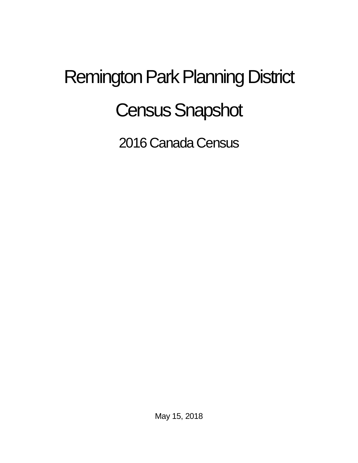## Remington Park Planning District Census Snapshot

2016 Canada Census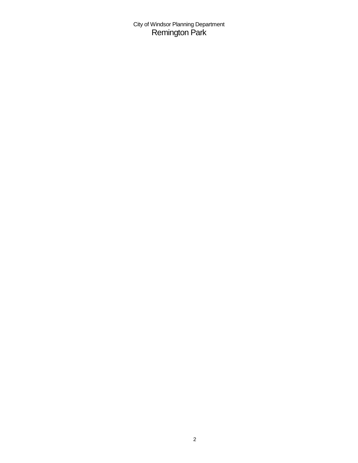City of Windsor Planning Department Remington Park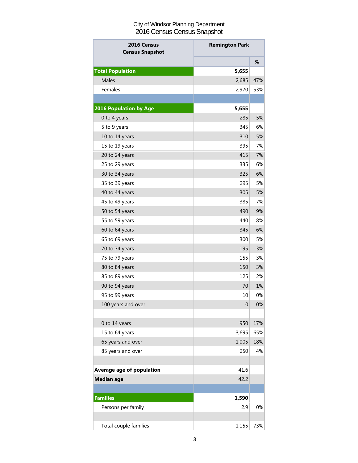## City of Windsor Planning Department 2016 Census Census Snapshot

| 2016 Census<br><b>Census Snapshot</b> | <b>Remington Park</b> |     |
|---------------------------------------|-----------------------|-----|
|                                       |                       | %   |
| <b>Total Population</b>               | 5,655                 |     |
| Males                                 | 2,685                 | 47% |
| Females                               | 2,970                 | 53% |
|                                       |                       |     |
| <b>2016 Population by Age</b>         | 5,655                 |     |
| 0 to 4 years                          | 285                   | 5%  |
| 5 to 9 years                          | 345                   | 6%  |
| 10 to 14 years                        | 310                   | 5%  |
| 15 to 19 years                        | 395                   | 7%  |
| 20 to 24 years                        | 415                   | 7%  |
| 25 to 29 years                        | 335                   | 6%  |
| 30 to 34 years                        | 325                   | 6%  |
| 35 to 39 years                        | 295                   | 5%  |
| 40 to 44 years                        | 305                   | 5%  |
| 45 to 49 years                        | 385                   | 7%  |
| 50 to 54 years                        | 490                   | 9%  |
| 55 to 59 years                        | 440                   | 8%  |
| 60 to 64 years                        | 345                   | 6%  |
| 65 to 69 years                        | 300                   | 5%  |
| 70 to 74 years                        | 195                   | 3%  |
| 75 to 79 years                        | 155                   | 3%  |
| 80 to 84 years                        | 150                   | 3%  |
| 85 to 89 years                        | 125                   | 2%  |
| 90 to 94 years                        | 70                    | 1%  |
| 95 to 99 years                        | 10                    | 0%  |
| 100 years and over                    | $\boldsymbol{0}$      | 0%  |
|                                       |                       |     |
| 0 to 14 years                         | 950                   | 17% |
| 15 to 64 years                        | 3,695                 | 65% |
| 65 years and over                     | 1,005                 | 18% |
| 85 years and over                     | 250                   | 4%  |
|                                       |                       |     |
| Average age of population             | 41.6                  |     |
| <b>Median age</b>                     | 42.2                  |     |
| <b>Families</b>                       | 1,590                 |     |
| Persons per family                    | 2.9                   | 0%  |
| Total couple families                 | 1,155                 | 73% |